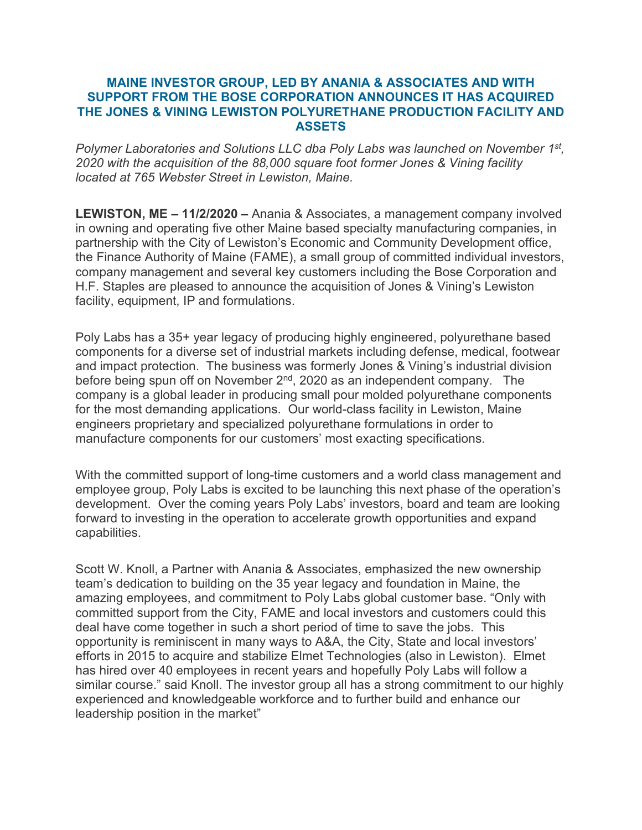## **MAINE INVESTOR GROUP, LED BY ANANIA & ASSOCIATES AND WITH SUPPORT FROM THE BOSE CORPORATION ANNOUNCES IT HAS ACQUIRED THE JONES & VINING LEWISTON POLYURETHANE PRODUCTION FACILITY AND ASSETS**

*Polymer Laboratories and Solutions LLC dba Poly Labs was launched on November 1st, 2020 with the acquisition of the 88,000 square foot former Jones & Vining facility located at 765 Webster Street in Lewiston, Maine.*

**LEWISTON, ME – 11/2/2020 –** Anania & Associates, a management company involved in owning and operating five other Maine based specialty manufacturing companies, in partnership with the City of Lewiston's Economic and Community Development office, the Finance Authority of Maine (FAME), a small group of committed individual investors, company management and several key customers including the Bose Corporation and H.F. Staples are pleased to announce the acquisition of Jones & Vining's Lewiston facility, equipment, IP and formulations.

Poly Labs has a 35+ year legacy of producing highly engineered, polyurethane based components for a diverse set of industrial markets including defense, medical, footwear and impact protection. The business was formerly Jones & Vining's industrial division before being spun off on November 2nd, 2020 as an independent company. The company is a global leader in producing small pour molded polyurethane components for the most demanding applications. Our world-class facility in Lewiston, Maine engineers proprietary and specialized polyurethane formulations in order to manufacture components for our customers' most exacting specifications.

With the committed support of long-time customers and a world class management and employee group, Poly Labs is excited to be launching this next phase of the operation's development. Over the coming years Poly Labs' investors, board and team are looking forward to investing in the operation to accelerate growth opportunities and expand capabilities.

Scott W. Knoll, a Partner with Anania & Associates, emphasized the new ownership team's dedication to building on the 35 year legacy and foundation in Maine, the amazing employees, and commitment to Poly Labs global customer base. "Only with committed support from the City, FAME and local investors and customers could this deal have come together in such a short period of time to save the jobs. This opportunity is reminiscent in many ways to A&A, the City, State and local investors' efforts in 2015 to acquire and stabilize Elmet Technologies (also in Lewiston). Elmet has hired over 40 employees in recent years and hopefully Poly Labs will follow a similar course." said Knoll. The investor group all has a strong commitment to our highly experienced and knowledgeable workforce and to further build and enhance our leadership position in the market"